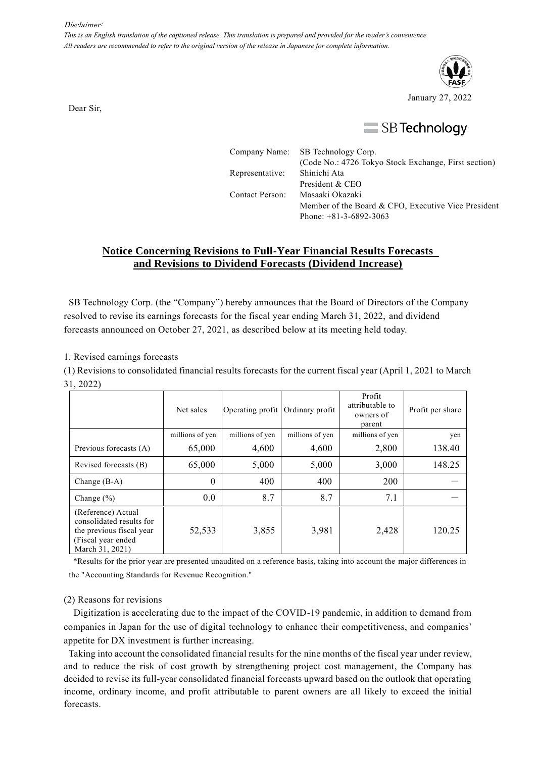#### Disclaimer:

*This is an English translation of the captioned release. This translation is prepared and provided for the reader's convenience. All readers are recommended to refer to the original version of the release in Japanese for complete information.*



Dear Sir,

# $\equiv$  SB Technology

|                 | Company Name: SB Technology Corp.                    |
|-----------------|------------------------------------------------------|
|                 | (Code No.: 4726 Tokyo Stock Exchange, First section) |
| Representative: | Shinichi Ata                                         |
|                 | President & CEO                                      |
| Contact Person: | Masaaki Okazaki                                      |
|                 | Member of the Board & CFO, Executive Vice President  |
|                 | Phone: $+81-3-6892-3063$                             |

### **Notice Concerning Revisions to Full-Year Financial Results Forecasts and Revisions to Dividend Forecasts (Dividend Increase)**

SB Technology Corp. (the "Company") hereby announces that the Board of Directors of the Company resolved to revise its earnings forecasts for the fiscal year ending March 31, 2022, and dividend forecasts announced on October 27, 2021, as described below at its meeting held today.

1. Revised earnings forecasts

(1) Revisions to consolidated financial results forecasts for the current fiscal year (April 1, 2021 to March 31, 2022)

|                                                                                                                      | Net sales       | Operating profit | Ordinary profit | Profit<br>attributable to<br>owners of<br>parent | Profit per share |
|----------------------------------------------------------------------------------------------------------------------|-----------------|------------------|-----------------|--------------------------------------------------|------------------|
|                                                                                                                      | millions of yen | millions of yen  | millions of yen | millions of yen                                  | yen              |
| Previous forecasts (A)                                                                                               | 65,000          | 4,600            | 4,600           | 2,800                                            | 138.40           |
| Revised forecasts (B)                                                                                                | 65,000          | 5,000            | 5,000           | 3,000                                            | 148.25           |
| Change $(B-A)$                                                                                                       | 0               | 400              | 400             | 200                                              |                  |
| Change $(\% )$                                                                                                       | 0.0             | 8.7              | 8.7             | 7.1                                              |                  |
| (Reference) Actual<br>consolidated results for<br>the previous fiscal year<br>(Fiscal year ended)<br>March 31, 2021) | 52,533          | 3,855            | 3,981           | 2,428                                            | 120.25           |

\*Results for the prior year are presented unaudited on a reference basis, taking into account the major differences in the "Accounting Standards for Revenue Recognition."

#### (2) Reasons for revisions

Digitization is accelerating due to the impact of the COVID-19 pandemic, in addition to demand from companies in Japan for the use of digital technology to enhance their competitiveness, and companies' appetite for DX investment is further increasing.

Taking into account the consolidated financial results for the nine months of the fiscal year under review, and to reduce the risk of cost growth by strengthening project cost management, the Company has decided to revise its full-year consolidated financial forecasts upward based on the outlook that operating income, ordinary income, and profit attributable to parent owners are all likely to exceed the initial forecasts.